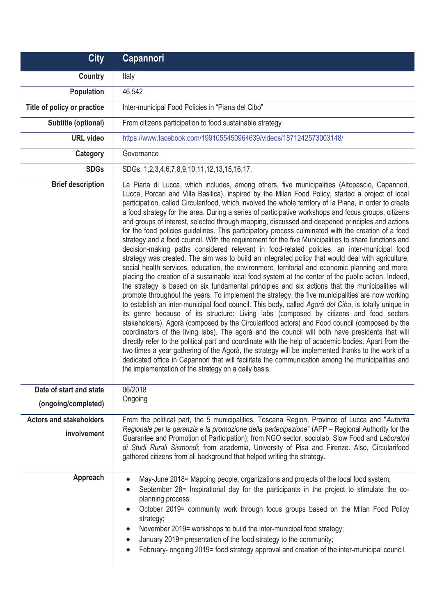| <b>City</b>                                    | <b>Capannori</b>                                                                                                                                                                                                                                                                                                                                                                                                                                                                                                                                                                                                                                                                                                                                                                                                                                                                                                                                                                                                                                                                                                                                                                                                                                                                                                                                                                                                                                                                                                                                                                                                                                                                                                                                                                                                                                                                                                                                                                                                                                                                                                                            |
|------------------------------------------------|---------------------------------------------------------------------------------------------------------------------------------------------------------------------------------------------------------------------------------------------------------------------------------------------------------------------------------------------------------------------------------------------------------------------------------------------------------------------------------------------------------------------------------------------------------------------------------------------------------------------------------------------------------------------------------------------------------------------------------------------------------------------------------------------------------------------------------------------------------------------------------------------------------------------------------------------------------------------------------------------------------------------------------------------------------------------------------------------------------------------------------------------------------------------------------------------------------------------------------------------------------------------------------------------------------------------------------------------------------------------------------------------------------------------------------------------------------------------------------------------------------------------------------------------------------------------------------------------------------------------------------------------------------------------------------------------------------------------------------------------------------------------------------------------------------------------------------------------------------------------------------------------------------------------------------------------------------------------------------------------------------------------------------------------------------------------------------------------------------------------------------------------|
| Country                                        | Italy                                                                                                                                                                                                                                                                                                                                                                                                                                                                                                                                                                                                                                                                                                                                                                                                                                                                                                                                                                                                                                                                                                                                                                                                                                                                                                                                                                                                                                                                                                                                                                                                                                                                                                                                                                                                                                                                                                                                                                                                                                                                                                                                       |
| Population                                     | 46,542                                                                                                                                                                                                                                                                                                                                                                                                                                                                                                                                                                                                                                                                                                                                                                                                                                                                                                                                                                                                                                                                                                                                                                                                                                                                                                                                                                                                                                                                                                                                                                                                                                                                                                                                                                                                                                                                                                                                                                                                                                                                                                                                      |
| Title of policy or practice                    | Inter-municipal Food Policies in "Piana del Cibo"                                                                                                                                                                                                                                                                                                                                                                                                                                                                                                                                                                                                                                                                                                                                                                                                                                                                                                                                                                                                                                                                                                                                                                                                                                                                                                                                                                                                                                                                                                                                                                                                                                                                                                                                                                                                                                                                                                                                                                                                                                                                                           |
| Subtitle (optional)                            | From citizens participation to food sustainable strategy                                                                                                                                                                                                                                                                                                                                                                                                                                                                                                                                                                                                                                                                                                                                                                                                                                                                                                                                                                                                                                                                                                                                                                                                                                                                                                                                                                                                                                                                                                                                                                                                                                                                                                                                                                                                                                                                                                                                                                                                                                                                                    |
| <b>URL</b> video                               | https://www.facebook.com/1991055450964639/videos/1871242573003148/                                                                                                                                                                                                                                                                                                                                                                                                                                                                                                                                                                                                                                                                                                                                                                                                                                                                                                                                                                                                                                                                                                                                                                                                                                                                                                                                                                                                                                                                                                                                                                                                                                                                                                                                                                                                                                                                                                                                                                                                                                                                          |
| <b>Category</b>                                | Governance                                                                                                                                                                                                                                                                                                                                                                                                                                                                                                                                                                                                                                                                                                                                                                                                                                                                                                                                                                                                                                                                                                                                                                                                                                                                                                                                                                                                                                                                                                                                                                                                                                                                                                                                                                                                                                                                                                                                                                                                                                                                                                                                  |
| <b>SDGs</b>                                    | SDGs: 1,2,3,4,6,7,8,9,10,11,12,13,15,16,17.                                                                                                                                                                                                                                                                                                                                                                                                                                                                                                                                                                                                                                                                                                                                                                                                                                                                                                                                                                                                                                                                                                                                                                                                                                                                                                                                                                                                                                                                                                                                                                                                                                                                                                                                                                                                                                                                                                                                                                                                                                                                                                 |
| <b>Brief description</b>                       | La Piana di Lucca, which includes, among others, five municipalities (Altopascio, Capannori,<br>Lucca, Porcari and Villa Basilica), inspired by the Milan Food Policy, started a project of local<br>participation, called Circularifood, which involved the whole territory of la Piana, in order to create<br>a food strategy for the area. During a series of participative workshops and focus groups, citizens<br>and groups of interest, selected through mapping, discussed and deepened principles and actions<br>for the food policies guidelines. This participatory process culminated with the creation of a food<br>strategy and a food council. With the requirement for the five Municipalities to share functions and<br>decision-making paths considered relevant in food-related policies, an inter-municipal food<br>strategy was created. The aim was to build an integrated policy that would deal with agriculture,<br>social health services, education, the environment, territorial and economic planning and more,<br>placing the creation of a sustainable local food system at the center of the public action. Indeed,<br>the strategy is based on six fundamental principles and six actions that the municipalities will<br>promote throughout the years. To implement the strategy, the five municipalities are now working<br>to establish an inter-municipal food council. This body, called Agorà del Cibo, is totally unique in<br>its genre because of its structure: Living labs (composed by citizens and food sectors<br>stakeholders), Agorà (composed by the Circularifood actors) and Food council (composed by the<br>coordinators of the living labs). The agorà and the council will both have presidents that will<br>directly refer to the political part and coordinate with the help of academic bodies. Apart from the<br>two times a year gathering of the Agorà, the strategy will be implemented thanks to the work of a<br>dedicated office in Capannori that will facilitate the communication among the municipalities and<br>the implementation of the strategy on a daily basis. |
| Date of start and state<br>(ongoing/completed) | 06/2018<br>Ongoing                                                                                                                                                                                                                                                                                                                                                                                                                                                                                                                                                                                                                                                                                                                                                                                                                                                                                                                                                                                                                                                                                                                                                                                                                                                                                                                                                                                                                                                                                                                                                                                                                                                                                                                                                                                                                                                                                                                                                                                                                                                                                                                          |
| <b>Actors and stakeholders</b><br>involvement  | From the political part, the 5 municipalities, Toscana Region, Province of Lucca and "Autorità<br>Regionale per la garanzia e la promozione della partecipazione" (APP - Regional Authority for the<br>Guarantee and Promotion of Participation); from NGO sector, sociolab, Slow Food and Laboratori<br>di Studi Rurali Sismondi; from academia, University of Pisa and Firenze. Also, Circularifood<br>gathered citizens from all background that helped writing the strategy.                                                                                                                                                                                                                                                                                                                                                                                                                                                                                                                                                                                                                                                                                                                                                                                                                                                                                                                                                                                                                                                                                                                                                                                                                                                                                                                                                                                                                                                                                                                                                                                                                                                            |
| Approach                                       | May-June 2018= Mapping people, organizations and projects of the local food system;<br>$\bullet$<br>September 28= Inspirational day for the participants in the project to stimulate the co-<br>planning process;<br>October 2019= community work through focus groups based on the Milan Food Policy<br>strategy;<br>November 2019= workshops to build the inter-municipal food strategy;<br>$\bullet$<br>January 2019= presentation of the food strategy to the community;<br>February- ongoing 2019= food strategy approval and creation of the inter-municipal council.<br>$\bullet$                                                                                                                                                                                                                                                                                                                                                                                                                                                                                                                                                                                                                                                                                                                                                                                                                                                                                                                                                                                                                                                                                                                                                                                                                                                                                                                                                                                                                                                                                                                                                    |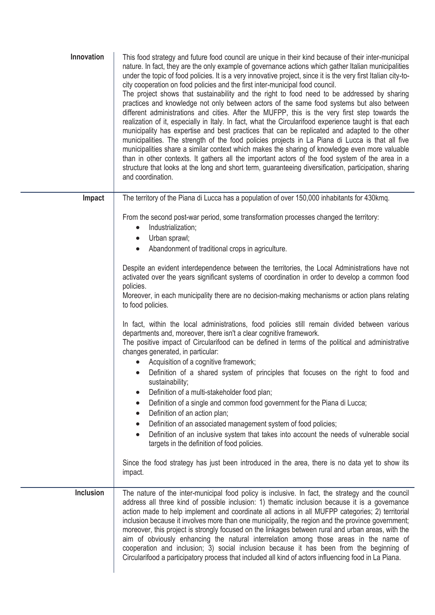| Innovation       | This food strategy and future food council are unique in their kind because of their inter-municipal<br>nature. In fact, they are the only example of governance actions which gather Italian municipalities<br>under the topic of food policies. It is a very innovative project, since it is the very first Italian city-to-<br>city cooperation on food policies and the first inter-municipal food council.<br>The project shows that sustainability and the right to food need to be addressed by sharing<br>practices and knowledge not only between actors of the same food systems but also between<br>different administrations and cities. After the MUFPP, this is the very first step towards the<br>realization of it, especially in Italy. In fact, what the Circularifood experience taught is that each<br>municipality has expertise and best practices that can be replicated and adapted to the other<br>municipalities. The strength of the food policies projects in La Piana di Lucca is that all five<br>municipalities share a similar context which makes the sharing of knowledge even more valuable<br>than in other contexts. It gathers all the important actors of the food system of the area in a<br>structure that looks at the long and short term, guaranteeing diversification, participation, sharing<br>and coordination. |
|------------------|-----------------------------------------------------------------------------------------------------------------------------------------------------------------------------------------------------------------------------------------------------------------------------------------------------------------------------------------------------------------------------------------------------------------------------------------------------------------------------------------------------------------------------------------------------------------------------------------------------------------------------------------------------------------------------------------------------------------------------------------------------------------------------------------------------------------------------------------------------------------------------------------------------------------------------------------------------------------------------------------------------------------------------------------------------------------------------------------------------------------------------------------------------------------------------------------------------------------------------------------------------------------------------------------------------------------------------------------------------------------|
| Impact           | The territory of the Piana di Lucca has a population of over 150,000 inhabitants for 430kmq.                                                                                                                                                                                                                                                                                                                                                                                                                                                                                                                                                                                                                                                                                                                                                                                                                                                                                                                                                                                                                                                                                                                                                                                                                                                                    |
|                  | From the second post-war period, some transformation processes changed the territory:<br>Industrialization;<br>Urban sprawl;<br>Abandonment of traditional crops in agriculture.<br>$\bullet$                                                                                                                                                                                                                                                                                                                                                                                                                                                                                                                                                                                                                                                                                                                                                                                                                                                                                                                                                                                                                                                                                                                                                                   |
|                  | Despite an evident interdependence between the territories, the Local Administrations have not<br>activated over the years significant systems of coordination in order to develop a common food<br>policies.<br>Moreover, in each municipality there are no decision-making mechanisms or action plans relating                                                                                                                                                                                                                                                                                                                                                                                                                                                                                                                                                                                                                                                                                                                                                                                                                                                                                                                                                                                                                                                |
|                  | to food policies.                                                                                                                                                                                                                                                                                                                                                                                                                                                                                                                                                                                                                                                                                                                                                                                                                                                                                                                                                                                                                                                                                                                                                                                                                                                                                                                                               |
|                  | In fact, within the local administrations, food policies still remain divided between various<br>departments and, moreover, there isn't a clear cognitive framework.<br>The positive impact of Circularifood can be defined in terms of the political and administrative<br>changes generated, in particular:<br>Acquisition of a cognitive framework;                                                                                                                                                                                                                                                                                                                                                                                                                                                                                                                                                                                                                                                                                                                                                                                                                                                                                                                                                                                                          |
|                  | Definition of a shared system of principles that focuses on the right to food and<br>sustainability;<br>Definition of a multi-stakeholder food plan;                                                                                                                                                                                                                                                                                                                                                                                                                                                                                                                                                                                                                                                                                                                                                                                                                                                                                                                                                                                                                                                                                                                                                                                                            |
|                  | Definition of a single and common food government for the Piana di Lucca;<br>$\bullet$                                                                                                                                                                                                                                                                                                                                                                                                                                                                                                                                                                                                                                                                                                                                                                                                                                                                                                                                                                                                                                                                                                                                                                                                                                                                          |
|                  | Definition of an action plan;<br>$\bullet$                                                                                                                                                                                                                                                                                                                                                                                                                                                                                                                                                                                                                                                                                                                                                                                                                                                                                                                                                                                                                                                                                                                                                                                                                                                                                                                      |
|                  | Definition of an associated management system of food policies;<br>$\bullet$<br>Definition of an inclusive system that takes into account the needs of vulnerable social<br>targets in the definition of food policies.                                                                                                                                                                                                                                                                                                                                                                                                                                                                                                                                                                                                                                                                                                                                                                                                                                                                                                                                                                                                                                                                                                                                         |
|                  | Since the food strategy has just been introduced in the area, there is no data yet to show its<br>impact.                                                                                                                                                                                                                                                                                                                                                                                                                                                                                                                                                                                                                                                                                                                                                                                                                                                                                                                                                                                                                                                                                                                                                                                                                                                       |
| <b>Inclusion</b> | The nature of the inter-municipal food policy is inclusive. In fact, the strategy and the council<br>address all three kind of possible inclusion: 1) thematic inclusion because it is a governance<br>action made to help implement and coordinate all actions in all MUFPP categories; 2) territorial<br>inclusion because it involves more than one municipality, the region and the province government;<br>moreover, this project is strongly focused on the linkages between rural and urban areas, with the<br>aim of obviously enhancing the natural interrelation among those areas in the name of<br>cooperation and inclusion; 3) social inclusion because it has been from the beginning of<br>Circularifood a participatory process that included all kind of actors influencing food in La Piana.                                                                                                                                                                                                                                                                                                                                                                                                                                                                                                                                                 |